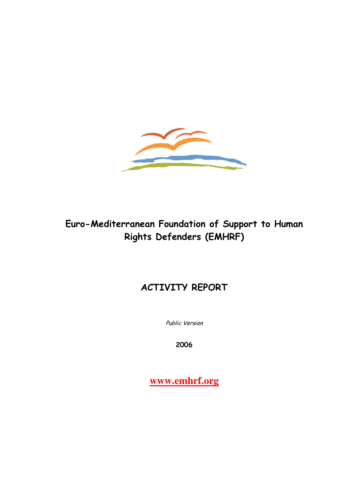

# Euro-Mediterranean Foundation of Support to Human Rights Defenders (EMHRF)

# ACTIVITY REPORT

Public Version

2006

**www.emhrf.org**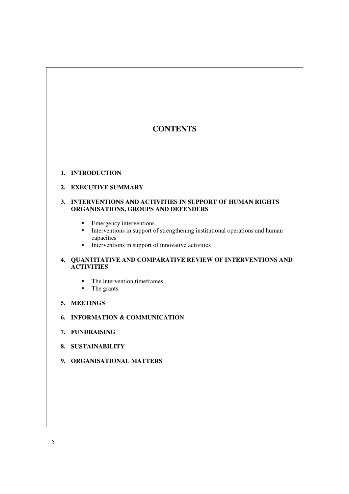# **CONTENTS**

#### **1. INTRODUCTION**

#### **2. EXECUTIVE SUMMARY**

#### **3. INTERVENTIONS AND ACTIVITIES IN SUPPORT OF HUMAN RIGHTS ORGANISATIONS, GROUPS AND DEFENDERS**

- **Emergency interventions**
- Interventions in support of strengthening institutional operations and human capacities
- $\blacksquare$  Interventions in support of innovative activities

### **4. QUANTITATIVE AND COMPARATIVE REVIEW OF INTERVENTIONS AND ACTIVITIES**

- $\blacksquare$  The intervention timeframes
- The grants
- **5. MEETINGS**
- **6. INFORMATION & COMMUNICATION**
- **7. FUNDRAISING**
- **8. SUSTAINABILITY**
- **9. ORGANISATIONAL MATTERS**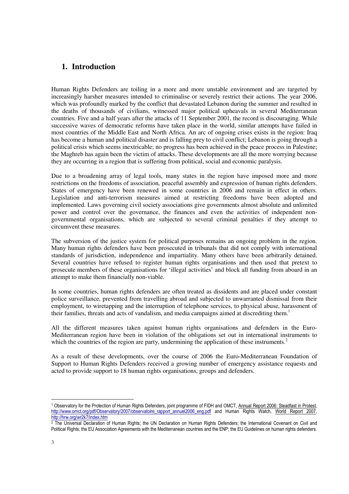# **1. Introduction**

Human Rights Defenders are toiling in a more and more unstable environment and are targeted by increasingly harsher measures intended to criminalise or severely restrict their actions. The year 2006, which was profoundly marked by the conflict that devastated Lebanon during the summer and resulted in the deaths of thousands of civilians, witnessed major political upheavals in several Mediterranean countries. Five and a half years after the attacks of 11 September 2001, the record is discouraging. While successive waves of democratic reforms have taken place in the world, similar attempts have failed in most countries of the Middle East and North Africa. An arc of ongoing crises exists in the region: Iraq has become a human and political disaster and is falling prey to civil conflict; Lebanon is going through a political crisis which seems inextricable; no progress has been achieved in the peace process in Palestine; the Maghreb has again been the victim of attacks. These developments are all the more worrying because they are occurring in a region that is suffering from political, social and economic paralysis.

Due to a broadening array of legal tools, many states in the region have imposed more and more restrictions on the freedoms of association, peaceful assembly and expression of human rights defenders. States of emergency have been renewed in some countries in 2006 and remain in effect in others. Legislation and anti-terrorism measures aimed at restricting freedoms have been adopted and implemented. Laws governing civil society associations give governments almost absolute and unlimited power and control over the governance, the finances and even the activities of independent nongovernmental organisations, which are subjected to several criminal penalties if they attempt to circumvent these measures.

The subversion of the justice system for political purposes remains an ongoing problem in the region. Many human rights defenders have been prosecuted in tribunals that did not comply with international standards of jurisdiction, independence and impartiality. Many others have been arbitrarily detained. Several countries have refused to register human rights organisations and then used that pretext to prosecute members of these organisations for 'illegal activities' and block all funding from aboard in an attempt to make them financially non-viable.

In some countries, human rights defenders are often treated as dissidents and are placed under constant police surveillance, prevented from travelling abroad and subjected to unwarranted dismissal from their employment, to wiretapping and the interruption of telephone services, to physical abuse, harassment of their families, threats and acts of vandalism, and media campaigns aimed at discrediting them.<sup>1</sup>

All the different measures taken against human rights organisations and defenders in the Euro-Mediterranean region have been in violation of the obligations set out in international instruments to which the countries of the region are party, undermining the application of these instruments.<sup>2</sup>

As a result of these developments, over the course of 2006 the Euro-Mediterranean Foundation of Support to Human Rights Defenders received a growing number of emergency assistance requests and acted to provide support to 18 human rights organisations, groups and defenders.

l <sup>1</sup> Observatory for the Protection of Human Rights Defenders, joint programme of FIDH and OMCT, <u>Annual Report 2006: Steadfast in Protest</u>, http://www.omct.org/pdf/Observatory/2007/observatoire\_rapport\_annuel2006\_eng.pdf and Human Rights Watch, World Report 2007, http://hrw.org/wr2k7/index.htm

<sup>2</sup> The Universal Declaration of Human Rights; the UN Declaration on Human Rights Defenders; the International Covenant on Civil and Political Rights; the EU Association Agreements with the Mediterranean countries and the ENP; the EU Guidelines on human rights defenders.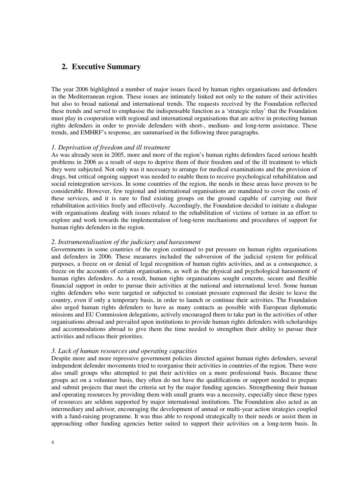## **2. Executive Summary**

The year 2006 highlighted a number of major issues faced by human rights organisations and defenders in the Mediterranean region. These issues are intimately linked not only to the nature of their activities but also to broad national and international trends. The requests received by the Foundation reflected these trends and served to emphasise the indispensable function as a 'strategic relay' that the Foundation must play in cooperation with regional and international organisations that are active in protecting human rights defenders in order to provide defenders with short-, medium- and long-term assistance. These trends, and EMHRF's response, are summarised in the following three paragraphs.

#### *1. Deprivation of freedom and ill treatment*

As was already seen in 2005, more and more of the region's human rights defenders faced serious health problems in 2006 as a result of steps to deprive them of their freedom and of the ill treatment to which they were subjected. Not only was it necessary to arrange for medical examinations and the provision of drugs, but critical ongoing support was needed to enable them to receive psychological rehabilitation and social reintegration services. In some countries of the region, the needs in these areas have proven to be considerable. However, few regional and international organisations are mandated to cover the costs of these services, and it is rare to find existing groups on the ground capable of carrying out their rehabilitation activities freely and effectively. Accordingly, the Foundation decided to initiate a dialogue with organisations dealing with issues related to the rehabilitation of victims of torture in an effort to explore and work towards the implementation of long-term mechanisms and procedures of support for human rights defenders in the region.

#### *2. Instrumentalisation of the judiciary and harassment*

Governments in some countries of the region continued to put pressure on human rights organisations and defenders in 2006. These measures included the subversion of the judicial system for political purposes, a freeze on or denial of legal recognition of human rights activities, and as a consequence, a freeze on the accounts of certain organisations, as well as the physical and psychological harassment of human rights defenders. As a result, human rights organisations sought concrete, secure and flexible financial support in order to pursue their activities at the national and international level. Some human rights defenders who were targeted or subjected to constant pressure expressed the desire to leave the country, even if only a temporary basis, in order to launch or continue their activities. The Foundation also urged human rights defenders to have as many contacts as possible with European diplomatic missions and EU Commission delegations, actively encouraged them to take part in the activities of other organisations abroad and prevailed upon institutions to provide human rights defenders with scholarships and accommodations abroad to give them the time needed to strengthen their ability to pursue their activities and refocus their priorities.

#### *3. Lack of human resources and operating capacities*

Despite more and more repressive government policies directed against human rights defenders, several independent defender movements tried to reorganise their activities in countries of the region. There were also small groups who attempted to put their activities on a more professional basis. Because these groups act on a volunteer basis, they often do not have the qualifications or support needed to prepare and submit projects that meet the criteria set by the major funding agencies. Strengthening their human and operating resources by providing them with small grants was a necessity, especially since these types of resources are seldom supported by major international institutions. The Foundation also acted as an intermediary and advisor, encouraging the development of annual or multi-year action strategies coupled with a fund-raising programme. It was thus able to respond strategically to their needs or assist them in approaching other funding agencies better suited to support their activities on a long-term basis. In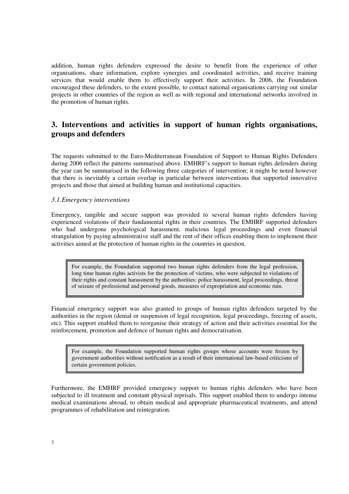addition, human rights defenders expressed the desire to benefit from the experience of other organisations, share information, explore synergies and coordinated activities, and receive training services that would enable them to effectively support their activities. In 2006, the Foundation encouraged these defenders, to the extent possible, to contact national organisations carrying out similar projects in other countries of the region as well as with regional and international networks involved in the promotion of human rights.

# **3. Interventions and activities in support of human rights organisations, groups and defenders**

The requests submitted to the Euro-Mediterranean Foundation of Support to Human Rights Defenders during 2006 reflect the patterns summarised above. EMHRF's support to human rights defenders during the year can be summarised in the following three categories of intervention; it might be noted however that there is inevitably a certain overlap in particular between interventions that supported innovative projects and those that aimed at building human and institutional capacities.

#### *3.1.Emergency interventions*

Emergency, tangible and secure support was provided to several human rights defenders having experienced violations of their fundamental rights in their countries. The EMHRF supported defenders who had undergone psychological harassment, malicious legal proceedings and even financial strangulation by paying administrative staff and the rent of their offices enabling them to implement their activities aimed at the protection of human rights in the countries in question.

For example, the Foundation supported two human rights defenders from the legal profession, long time human rights activists for the protection of victims, who were subjected to violations of their rights and constant harassment by the authorities: police harassment, legal proceedings, threat of seizure of professional and personal goods, measures of expropriation and economic ruin.

Financial emergency support was also granted to groups of human rights defenders targeted by the authorities in the region (denial or suspension of legal recognition, legal proceedings, freezing of assets, etc). This support enabled them to reorganise their strategy of action and their activities essential for the reinforcement, promotion and defence of human rights and democratisation.

For example, the Foundation supported human rights groups whose accounts were frozen by government authorities without notification as a result of their international law-based criticisms of certain government policies.

Furthermore, the EMHRF provided emergency support to human rights defenders who have been subjected to ill treatment and constant physical reprisals. This support enabled them to undergo intense medical examinations abroad, to obtain medical and appropriate pharmaceutical treatments, and attend programmes of rehabilitation and reintegration.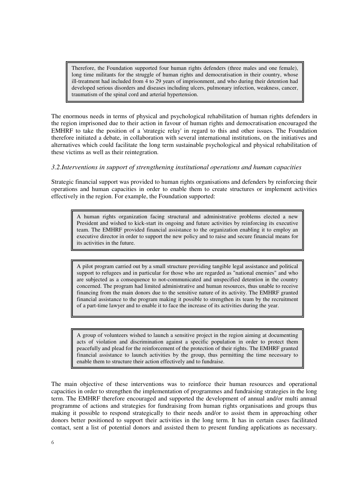Therefore, the Foundation supported four human rights defenders (three males and one female), long time militants for the struggle of human rights and democratisation in their country, whose ill-treatment had included from 4 to 29 years of imprisonment, and who during their detention had developed serious disorders and diseases including ulcers, pulmonary infection, weakness, cancer, traumatism of the spinal cord and arterial hypertension.

The enormous needs in terms of physical and psychological rehabilitation of human rights defenders in the region imprisoned due to their action in favour of human rights and democratisation encouraged the EMHRF to take the position of a 'strategic relay' in regard to this and other issues. The Foundation therefore initiated a debate, in collaboration with several international institutions, on the initiatives and alternatives which could facilitate the long term sustainable psychological and physical rehabilitation of these victims as well as their reintegration.

#### *3.2.Interventions in support of strengthening institutional operations and human capacities*

Strategic financial support was provided to human rights organisations and defenders by reinforcing their operations and human capacities in order to enable them to create structures or implement activities effectively in the region. For example, the Foundation supported:

A human rights organization facing structural and administrative problems elected a new President and wished to kick-start its ongoing and future activities by reinforcing its executive team. The EMHRF provided financial assistance to the organization enabling it to employ an executive director in order to support the new policy and to raise and secure financial means for its activities in the future.

A pilot program carried out by a small structure providing tangible legal assistance and political support to refugees and in particular for those who are regarded as "national enemies" and who are subjected as a consequence to not-communicated and unspecified detention in the country concerned. The program had limited administrative and human resources, thus unable to receive financing from the main donors due to the sensitive nature of its activity. The EMHRF granted financial assistance to the program making it possible to strengthen its team by the recruitment of a part-time lawyer and to enable it to face the increase of its activities during the year.

A group of volunteers wished to launch a sensitive project in the region aiming at documenting acts of violation and discrimination against a specific population in order to protect them peacefully and plead for the reinforcement of the protection of their rights. The EMHRF granted financial assistance to launch activities by the group, thus permitting the time necessary to enable them to structure their action effectively and to fundraise.

The main objective of these interventions was to reinforce their human resources and operational capacities in order to strengthen the implementation of programmes and fundraising strategies in the long term. The EMHRF therefore encouraged and supported the development of annual and/or multi annual programme of actions and strategies for fundraising from human rights organisations and groups thus making it possible to respond strategically to their needs and/or to assist them in approaching other donors better positioned to support their activities in the long term. It has in certain cases facilitated contact, sent a list of potential donors and assisted them to present funding applications as necessary.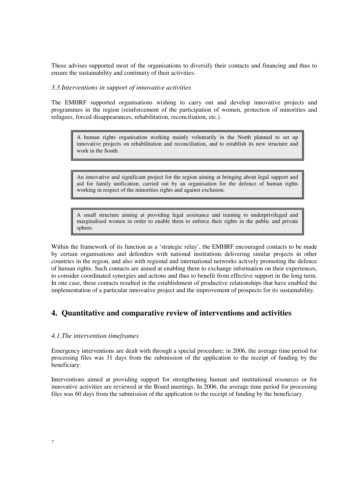These advises supported most of the organisations to diversify their contacts and financing and thus to ensure the sustainability and continuity of their activities.

#### *3.3.Interventions in support of innovative activities*

The EMHRF supported organisations wishing to carry out and develop innovative projects and programmes in the region (reinforcement of the participation of women, protection of minorities and refugees, forced disappearances, rehabilitation, reconciliation, etc.).

A human rights organisation working mainly voluntarily in the North planned to set up innovative projects on rehabilitation and reconciliation, and to establish its new structure and work in the South.

An innovative and significant project for the region aiming at bringing about legal support and aid for family unification, carried out by an organisation for the defence of human rights working in respect of the minorities rights and against exclusion.

A small structure aiming at providing legal assistance and training to underprivileged and marginalised women in order to enable them to enforce their rights in the public and private sphere.

Within the framework of its function as a 'strategic relay', the EMHRF encouraged contacts to be made by certain organisations and defenders with national institutions delivering similar projects in other countries in the region, and also with regional and international networks actively promoting the defence of human rights. Such contacts are aimed at enabling them to exchange information on their experiences, to consider coordinated synergies and actions and thus to benefit from effective support in the long term. In one case, these contacts resulted in the establishment of productive relationships that have enabled the implementation of a particular innovative project and the improvement of prospects for its sustainability.

# **4. Quantitative and comparative review of interventions and activities**

#### *4.1.The intervention timeframes*

Emergency interventions are dealt with through a special procedure; in 2006, the average time period for processing files was 31 days from the submission of the application to the receipt of funding by the beneficiary.

Interventions aimed at providing support for strengthening human and institutional resources or for innovative activities are reviewed at the Board meetings. In 2006, the average time period for processing files was 60 days from the submission of the application to the receipt of funding by the beneficiary.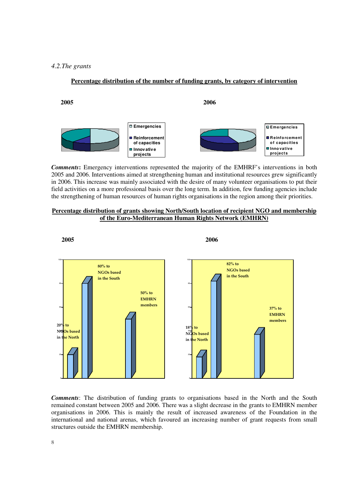#### *4.2.The grants*

#### **2005 2006 Emergencies Reinforcement of capacities Innov ative projects Emergencies R einfo rcement o f capacities Inno vative pro jects**

**Percentage distribution of the number of funding grants, by category of intervention**

*Comments***:** Emergency interventions represented the majority of the EMHRF's interventions in both 2005 and 2006. Interventions aimed at strengthening human and institutional resources grew significantly in 2006. This increase was mainly associated with the desire of many volunteer organisations to put their field activities on a more professional basis over the long term. In addition, few funding agencies include the strengthening of human resources of human rights organisations in the region among their priorities.

#### **Percentage distribution of grants showing North/South location of recipient NGO and membership of the Euro-Mediterranean Human Rights Network (EMHRN)**



*Comments*: The distribution of funding grants to organisations based in the North and the South remained constant between 2005 and 2006. There was a slight decrease in the grants to EMHRN member organisations in 2006. This is mainly the result of increased awareness of the Foundation in the international and national arenas, which favoured an increasing number of grant requests from small structures outside the EMHRN membership.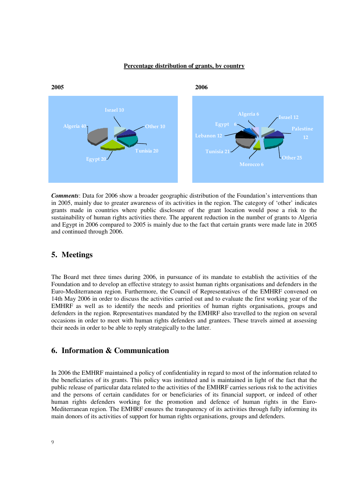#### **Percentage distribution of grants, by country**



*Comments*: Data for 2006 show a broader geographic distribution of the Foundation's interventions than in 2005, mainly due to greater awareness of its activities in the region. The category of 'other' indicates grants made in countries where public disclosure of the grant location would pose a risk to the sustainability of human rights activities there. The apparent reduction in the number of grants to Algeria and Egypt in 2006 compared to 2005 is mainly due to the fact that certain grants were made late in 2005 and continued through 2006.

## **5. Meetings**

The Board met three times during 2006, in pursuance of its mandate to establish the activities of the Foundation and to develop an effective strategy to assist human rights organisations and defenders in the Euro-Mediterranean region. Furthermore, the Council of Representatives of the EMHRF convened on 14th May 2006 in order to discuss the activities carried out and to evaluate the first working year of the EMHRF as well as to identify the needs and priorities of human rights organisations, groups and defenders in the region. Representatives mandated by the EMHRF also travelled to the region on several occasions in order to meet with human rights defenders and grantees. These travels aimed at assessing their needs in order to be able to reply strategically to the latter.

### **6. Information & Communication**

In 2006 the EMHRF maintained a policy of confidentiality in regard to most of the information related to the beneficiaries of its grants. This policy was instituted and is maintained in light of the fact that the public release of particular data related to the activities of the EMHRF carries serious risk to the activities and the persons of certain candidates for or beneficiaries of its financial support, or indeed of other human rights defenders working for the promotion and defence of human rights in the Euro-Mediterranean region. The EMHRF ensures the transparency of its activities through fully informing its main donors of its activities of support for human rights organisations, groups and defenders.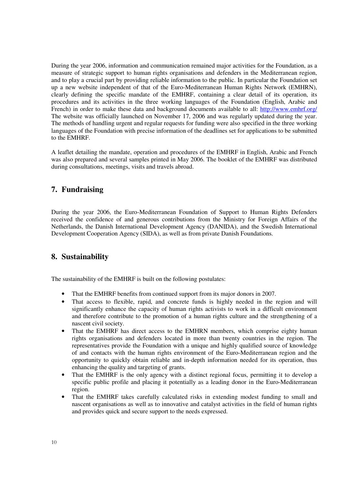During the year 2006, information and communication remained major activities for the Foundation, as a measure of strategic support to human rights organisations and defenders in the Mediterranean region, and to play a crucial part by providing reliable information to the public. In particular the Foundation set up a new website independent of that of the Euro-Mediterranean Human Rights Network (EMHRN), clearly defining the specific mandate of the EMHRF, containing a clear detail of its operation, its procedures and its activities in the three working languages of the Foundation (English, Arabic and French) in order to make these data and background documents available to all: http://www.emhrf.org/ The website was officially launched on November 17, 2006 and was regularly updated during the year. The methods of handling urgent and regular requests for funding were also specified in the three working languages of the Foundation with precise information of the deadlines set for applications to be submitted to the EMHRF.

A leaflet detailing the mandate, operation and procedures of the EMHRF in English, Arabic and French was also prepared and several samples printed in May 2006. The booklet of the EMHRF was distributed during consultations, meetings, visits and travels abroad.

# **7. Fundraising**

During the year 2006, the Euro-Mediterranean Foundation of Support to Human Rights Defenders received the confidence of and generous contributions from the Ministry for Foreign Affairs of the Netherlands, the Danish International Development Agency (DANIDA), and the Swedish International Development Cooperation Agency (SIDA), as well as from private Danish Foundations.

## **8. Sustainability**

The sustainability of the EMHRF is built on the following postulates:

- That the EMHRF benefits from continued support from its major donors in 2007.
- That access to flexible, rapid, and concrete funds is highly needed in the region and will significantly enhance the capacity of human rights activists to work in a difficult environment and therefore contribute to the promotion of a human rights culture and the strengthening of a nascent civil society.
- That the EMHRF has direct access to the EMHRN members, which comprise eighty human rights organisations and defenders located in more than twenty countries in the region. The representatives provide the Foundation with a unique and highly qualified source of knowledge of and contacts with the human rights environment of the Euro-Mediterranean region and the opportunity to quickly obtain reliable and in-depth information needed for its operation, thus enhancing the quality and targeting of grants.
- That the EMHRF is the only agency with a distinct regional focus, permitting it to develop a specific public profile and placing it potentially as a leading donor in the Euro-Mediterranean region.
- That the EMHRF takes carefully calculated risks in extending modest funding to small and nascent organisations as well as to innovative and catalyst activities in the field of human rights and provides quick and secure support to the needs expressed.